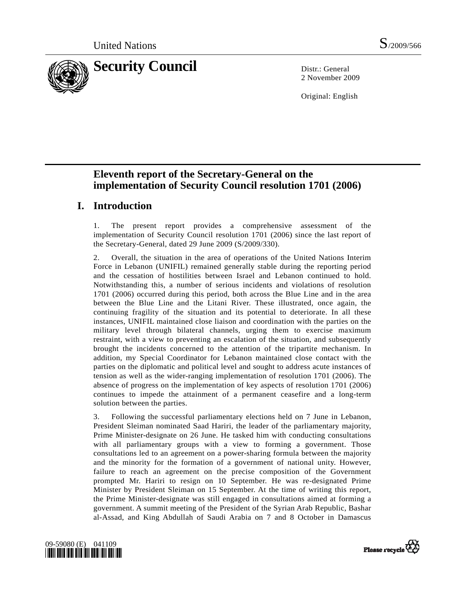

2 November 2009

Original: English

# **Eleventh report of the Secretary-General on the implementation of Security Council resolution 1701 (2006)**

# **I. Introduction**

1. The present report provides a comprehensive assessment of the implementation of Security Council resolution 1701 (2006) since the last report of the Secretary-General, dated 29 June 2009 (S/2009/330).

2. Overall, the situation in the area of operations of the United Nations Interim Force in Lebanon (UNIFIL) remained generally stable during the reporting period and the cessation of hostilities between Israel and Lebanon continued to hold. Notwithstanding this, a number of serious incidents and violations of resolution 1701 (2006) occurred during this period, both across the Blue Line and in the area between the Blue Line and the Litani River. These illustrated, once again, the continuing fragility of the situation and its potential to deteriorate. In all these instances, UNIFIL maintained close liaison and coordination with the parties on the military level through bilateral channels, urging them to exercise maximum restraint, with a view to preventing an escalation of the situation, and subsequently brought the incidents concerned to the attention of the tripartite mechanism. In addition, my Special Coordinator for Lebanon maintained close contact with the parties on the diplomatic and political level and sought to address acute instances of tension as well as the wider-ranging implementation of resolution 1701 (2006). The absence of progress on the implementation of key aspects of resolution 1701 (2006) continues to impede the attainment of a permanent ceasefire and a long-term solution between the parties.

3. Following the successful parliamentary elections held on 7 June in Lebanon, President Sleiman nominated Saad Hariri, the leader of the parliamentary majority, Prime Minister-designate on 26 June. He tasked him with conducting consultations with all parliamentary groups with a view to forming a government. Those consultations led to an agreement on a power-sharing formula between the majority and the minority for the formation of a government of national unity. However, failure to reach an agreement on the precise composition of the Government prompted Mr. Hariri to resign on 10 September. He was re-designated Prime Minister by President Sleiman on 15 September. At the time of writing this report, the Prime Minister-designate was still engaged in consultations aimed at forming a government. A summit meeting of the President of the Syrian Arab Republic, Bashar al-Assad, and King Abdullah of Saudi Arabia on 7 and 8 October in Damascus



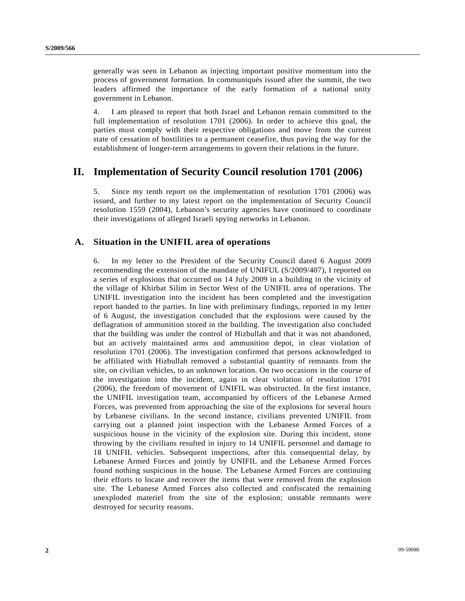generally was seen in Lebanon as injecting important positive momentum into the process of government formation. In communiqués issued after the summit, the two leaders affirmed the importance of the early formation of a national unity government in Lebanon.

4. I am pleased to report that both Israel and Lebanon remain committed to the full implementation of resolution 1701 (2006). In order to achieve this goal, the parties must comply with their respective obligations and move from the current state of cessation of hostilities to a permanent ceasefire, thus paving the way for the establishment of longer-term arrangements to govern their relations in the future.

## **II. Implementation of Security Council resolution 1701 (2006)**

5. Since my tenth report on the implementation of resolution 1701 (2006) was issued, and further to my latest report on the implementation of Security Council resolution 1559 (2004), Lebanon's security agencies have continued to coordinate their investigations of alleged Israeli spying networks in Lebanon.

### **A. Situation in the UNIFIL area of operations**

6. In my letter to the President of the Security Council dated 6 August 2009 recommending the extension of the mandate of UNIFUL (S/2009/407), I reported on a series of explosions that occurred on 14 July 2009 in a building in the vicinity of the village of Khirbat Silim in Sector West of the UNIFIL area of operations. The UNIFIL investigation into the incident has been completed and the investigation report handed to the parties. In line with preliminary findings, reported in my letter of 6 August, the investigation concluded that the explosions were caused by the deflagration of ammunition stored in the building. The investigation also concluded that the building was under the control of Hizbullah and that it was not abandoned, but an actively maintained arms and ammunition depot, in clear violation of resolution 1701 (2006). The investigation confirmed that persons acknowledged to be affiliated with Hizbullah removed a substantial quantity of remnants from the site, on civilian vehicles, to an unknown location. On two occasions in the course of the investigation into the incident, again in clear violation of resolution 1701 (2006), the freedom of movement of UNIFIL was obstructed. In the first instance, the UNIFIL investigation team, accompanied by officers of the Lebanese Armed Forces, was prevented from approaching the site of the explosions for several hours by Lebanese civilians. In the second instance, civilians prevented UNIFIL from carrying out a planned joint inspection with the Lebanese Armed Forces of a suspicious house in the vicinity of the explosion site. During this incident, stone throwing by the civilians resulted in injury to 14 UNIFIL personnel and damage to 18 UNIFIL vehicles. Subsequent inspections, after this consequential delay, by Lebanese Armed Forces and jointly by UNIFIL and the Lebanese Armed Forces found nothing suspicious in the house. The Lebanese Armed Forces are continuing their efforts to locate and recover the items that were removed from the explosion site. The Lebanese Armed Forces also collected and confiscated the remaining unexploded materiel from the site of the explosion; unstable remnants were destroyed for security reasons.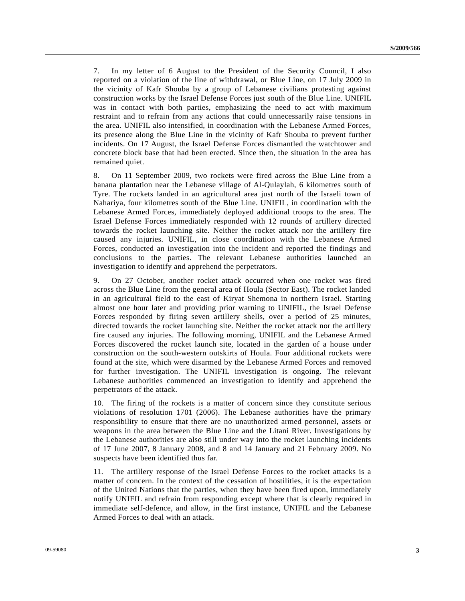7. In my letter of 6 August to the President of the Security Council, I also reported on a violation of the line of withdrawal, or Blue Line, on 17 July 2009 in the vicinity of Kafr Shouba by a group of Lebanese civilians protesting against construction works by the Israel Defense Forces just south of the Blue Line. UNIFIL was in contact with both parties, emphasizing the need to act with maximum restraint and to refrain from any actions that could unnecessarily raise tensions in the area. UNIFIL also intensified, in coordination with the Lebanese Armed Forces, its presence along the Blue Line in the vicinity of Kafr Shouba to prevent further incidents. On 17 August, the Israel Defense Forces dismantled the watchtower and concrete block base that had been erected. Since then, the situation in the area has remained quiet.

8. On 11 September 2009, two rockets were fired across the Blue Line from a banana plantation near the Lebanese village of Al-Qulaylah, 6 kilometres south of Tyre. The rockets landed in an agricultural area just north of the Israeli town of Nahariya, four kilometres south of the Blue Line. UNIFIL, in coordination with the Lebanese Armed Forces, immediately deployed additional troops to the area. The Israel Defense Forces immediately responded with 12 rounds of artillery directed towards the rocket launching site. Neither the rocket attack nor the artillery fire caused any injuries. UNIFIL, in close coordination with the Lebanese Armed Forces, conducted an investigation into the incident and reported the findings and conclusions to the parties. The relevant Lebanese authorities launched an investigation to identify and apprehend the perpetrators.

9. On 27 October, another rocket attack occurred when one rocket was fired across the Blue Line from the general area of Houla (Sector East). The rocket landed in an agricultural field to the east of Kiryat Shemona in northern Israel. Starting almost one hour later and providing prior warning to UNIFIL, the Israel Defense Forces responded by firing seven artillery shells, over a period of 25 minutes, directed towards the rocket launching site. Neither the rocket attack nor the artillery fire caused any injuries. The following morning, UNIFIL and the Lebanese Armed Forces discovered the rocket launch site, located in the garden of a house under construction on the south-western outskirts of Houla. Four additional rockets were found at the site, which were disarmed by the Lebanese Armed Forces and removed for further investigation. The UNIFIL investigation is ongoing. The relevant Lebanese authorities commenced an investigation to identify and apprehend the perpetrators of the attack.

10. The firing of the rockets is a matter of concern since they constitute serious violations of resolution 1701 (2006). The Lebanese authorities have the primary responsibility to ensure that there are no unauthorized armed personnel, assets or weapons in the area between the Blue Line and the Litani River. Investigations by the Lebanese authorities are also still under way into the rocket launching incidents of 17 June 2007, 8 January 2008, and 8 and 14 January and 21 February 2009. No suspects have been identified thus far.

11. The artillery response of the Israel Defense Forces to the rocket attacks is a matter of concern. In the context of the cessation of hostilities, it is the expectation of the United Nations that the parties, when they have been fired upon, immediately notify UNIFIL and refrain from responding except where that is clearly required in immediate self-defence, and allow, in the first instance, UNIFIL and the Lebanese Armed Forces to deal with an attack.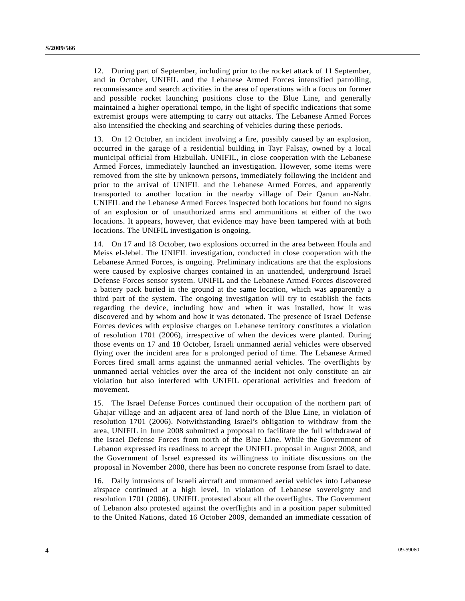12. During part of September, including prior to the rocket attack of 11 September, and in October, UNIFIL and the Lebanese Armed Forces intensified patrolling, reconnaissance and search activities in the area of operations with a focus on former and possible rocket launching positions close to the Blue Line, and generally maintained a higher operational tempo, in the light of specific indications that some extremist groups were attempting to carry out attacks. The Lebanese Armed Forces also intensified the checking and searching of vehicles during these periods.

13. On 12 October, an incident involving a fire, possibly caused by an explosion, occurred in the garage of a residential building in Tayr Falsay, owned by a local municipal official from Hizbullah. UNIFIL, in close cooperation with the Lebanese Armed Forces, immediately launched an investigation. However, some items were removed from the site by unknown persons, immediately following the incident and prior to the arrival of UNIFIL and the Lebanese Armed Forces, and apparently transported to another location in the nearby village of Deir Qanun an-Nahr. UNIFIL and the Lebanese Armed Forces inspected both locations but found no signs of an explosion or of unauthorized arms and ammunitions at either of the two locations. It appears, however, that evidence may have been tampered with at both locations. The UNIFIL investigation is ongoing.

14. On 17 and 18 October, two explosions occurred in the area between Houla and Meiss el-Jebel. The UNIFIL investigation, conducted in close cooperation with the Lebanese Armed Forces, is ongoing. Preliminary indications are that the explosions were caused by explosive charges contained in an unattended, underground Israel Defense Forces sensor system. UNIFIL and the Lebanese Armed Forces discovered a battery pack buried in the ground at the same location, which was apparently a third part of the system. The ongoing investigation will try to establish the facts regarding the device, including how and when it was installed, how it was discovered and by whom and how it was detonated. The presence of Israel Defense Forces devices with explosive charges on Lebanese territory constitutes a violation of resolution 1701 (2006), irrespective of when the devices were planted. During those events on 17 and 18 October, Israeli unmanned aerial vehicles were observed flying over the incident area for a prolonged period of time. The Lebanese Armed Forces fired small arms against the unmanned aerial vehicles. The overflights by unmanned aerial vehicles over the area of the incident not only constitute an air violation but also interfered with UNIFIL operational activities and freedom of movement.

15. The Israel Defense Forces continued their occupation of the northern part of Ghajar village and an adjacent area of land north of the Blue Line, in violation of resolution 1701 (2006). Notwithstanding Israel's obligation to withdraw from the area, UNIFIL in June 2008 submitted a proposal to facilitate the full withdrawal of the Israel Defense Forces from north of the Blue Line. While the Government of Lebanon expressed its readiness to accept the UNIFIL proposal in August 2008, and the Government of Israel expressed its willingness to initiate discussions on the proposal in November 2008, there has been no concrete response from Israel to date.

16. Daily intrusions of Israeli aircraft and unmanned aerial vehicles into Lebanese airspace continued at a high level, in violation of Lebanese sovereignty and resolution 1701 (2006). UNIFIL protested about all the overflights. The Government of Lebanon also protested against the overflights and in a position paper submitted to the United Nations, dated 16 October 2009, demanded an immediate cessation of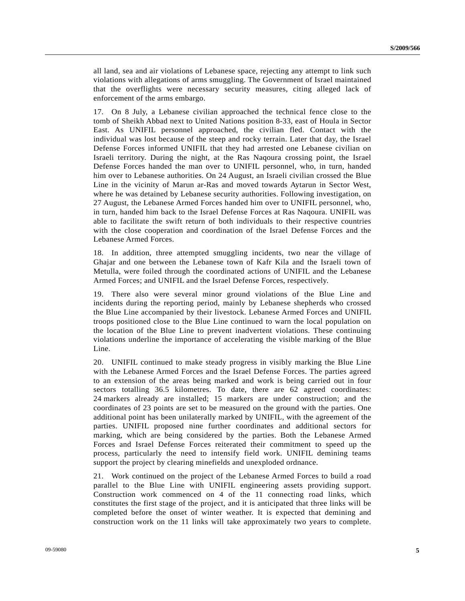all land, sea and air violations of Lebanese space, rejecting any attempt to link such violations with allegations of arms smuggling. The Government of Israel maintained that the overflights were necessary security measures, citing alleged lack of enforcement of the arms embargo.

17. On 8 July, a Lebanese civilian approached the technical fence close to the tomb of Sheikh Abbad next to United Nations position 8-33, east of Houla in Sector East. As UNIFIL personnel approached, the civilian fled. Contact with the individual was lost because of the steep and rocky terrain. Later that day, the Israel Defense Forces informed UNIFIL that they had arrested one Lebanese civilian on Israeli territory. During the night, at the Ras Naqoura crossing point, the Israel Defense Forces handed the man over to UNIFIL personnel, who, in turn, handed him over to Lebanese authorities. On 24 August, an Israeli civilian crossed the Blue Line in the vicinity of Marun ar-Ras and moved towards Aytarun in Sector West, where he was detained by Lebanese security authorities. Following investigation, on 27 August, the Lebanese Armed Forces handed him over to UNIFIL personnel, who, in turn, handed him back to the Israel Defense Forces at Ras Naqoura. UNIFIL was able to facilitate the swift return of both individuals to their respective countries with the close cooperation and coordination of the Israel Defense Forces and the Lebanese Armed Forces.

18. In addition, three attempted smuggling incidents, two near the village of Ghajar and one between the Lebanese town of Kafr Kila and the Israeli town of Metulla, were foiled through the coordinated actions of UNIFIL and the Lebanese Armed Forces; and UNIFIL and the Israel Defense Forces, respectively.

19. There also were several minor ground violations of the Blue Line and incidents during the reporting period, mainly by Lebanese shepherds who crossed the Blue Line accompanied by their livestock. Lebanese Armed Forces and UNIFIL troops positioned close to the Blue Line continued to warn the local population on the location of the Blue Line to prevent inadvertent violations. These continuing violations underline the importance of accelerating the visible marking of the Blue Line.

20. UNIFIL continued to make steady progress in visibly marking the Blue Line with the Lebanese Armed Forces and the Israel Defense Forces. The parties agreed to an extension of the areas being marked and work is being carried out in four sectors totalling 36.5 kilometres. To date, there are 62 agreed coordinates: 24 markers already are installed; 15 markers are under construction; and the coordinates of 23 points are set to be measured on the ground with the parties. One additional point has been unilaterally marked by UNIFIL, with the agreement of the parties. UNIFIL proposed nine further coordinates and additional sectors for marking, which are being considered by the parties. Both the Lebanese Armed Forces and Israel Defense Forces reiterated their commitment to speed up the process, particularly the need to intensify field work. UNIFIL demining teams support the project by clearing minefields and unexploded ordnance.

21. Work continued on the project of the Lebanese Armed Forces to build a road parallel to the Blue Line with UNIFIL engineering assets providing support. Construction work commenced on 4 of the 11 connecting road links, which constitutes the first stage of the project, and it is anticipated that three links will be completed before the onset of winter weather. It is expected that demining and construction work on the 11 links will take approximately two years to complete.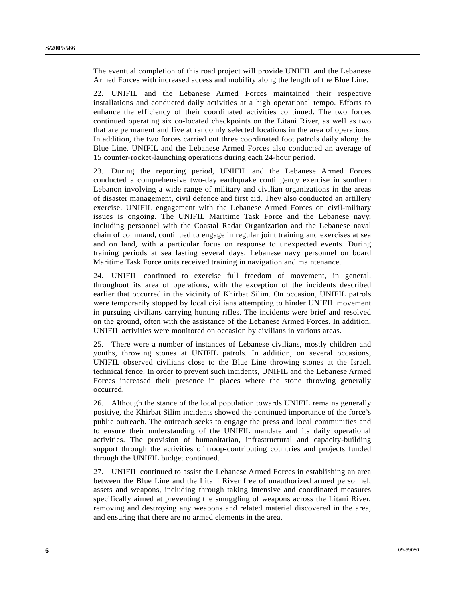The eventual completion of this road project will provide UNIFIL and the Lebanese Armed Forces with increased access and mobility along the length of the Blue Line.

22. UNIFIL and the Lebanese Armed Forces maintained their respective installations and conducted daily activities at a high operational tempo. Efforts to enhance the efficiency of their coordinated activities continued. The two forces continued operating six co-located checkpoints on the Litani River, as well as two that are permanent and five at randomly selected locations in the area of operations. In addition, the two forces carried out three coordinated foot patrols daily along the Blue Line. UNIFIL and the Lebanese Armed Forces also conducted an average of 15 counter-rocket-launching operations during each 24-hour period.

23. During the reporting period, UNIFIL and the Lebanese Armed Forces conducted a comprehensive two-day earthquake contingency exercise in southern Lebanon involving a wide range of military and civilian organizations in the areas of disaster management, civil defence and first aid. They also conducted an artillery exercise. UNIFIL engagement with the Lebanese Armed Forces on civil-military issues is ongoing. The UNIFIL Maritime Task Force and the Lebanese navy, including personnel with the Coastal Radar Organization and the Lebanese naval chain of command, continued to engage in regular joint training and exercises at sea and on land, with a particular focus on response to unexpected events. During training periods at sea lasting several days, Lebanese navy personnel on board Maritime Task Force units received training in navigation and maintenance.

24. UNIFIL continued to exercise full freedom of movement, in general, throughout its area of operations, with the exception of the incidents described earlier that occurred in the vicinity of Khirbat Silim. On occasion, UNIFIL patrols were temporarily stopped by local civilians attempting to hinder UNIFIL movement in pursuing civilians carrying hunting rifles. The incidents were brief and resolved on the ground, often with the assistance of the Lebanese Armed Forces. In addition, UNIFIL activities were monitored on occasion by civilians in various areas.

25. There were a number of instances of Lebanese civilians, mostly children and youths, throwing stones at UNIFIL patrols. In addition, on several occasions, UNIFIL observed civilians close to the Blue Line throwing stones at the Israeli technical fence. In order to prevent such incidents, UNIFIL and the Lebanese Armed Forces increased their presence in places where the stone throwing generally occurred.

26. Although the stance of the local population towards UNIFIL remains generally positive, the Khirbat Silim incidents showed the continued importance of the force's public outreach. The outreach seeks to engage the press and local communities and to ensure their understanding of the UNIFIL mandate and its daily operational activities. The provision of humanitarian, infrastructural and capacity-building support through the activities of troop-contributing countries and projects funded through the UNIFIL budget continued.

27. UNIFIL continued to assist the Lebanese Armed Forces in establishing an area between the Blue Line and the Litani River free of unauthorized armed personnel, assets and weapons, including through taking intensive and coordinated measures specifically aimed at preventing the smuggling of weapons across the Litani River, removing and destroying any weapons and related materiel discovered in the area, and ensuring that there are no armed elements in the area.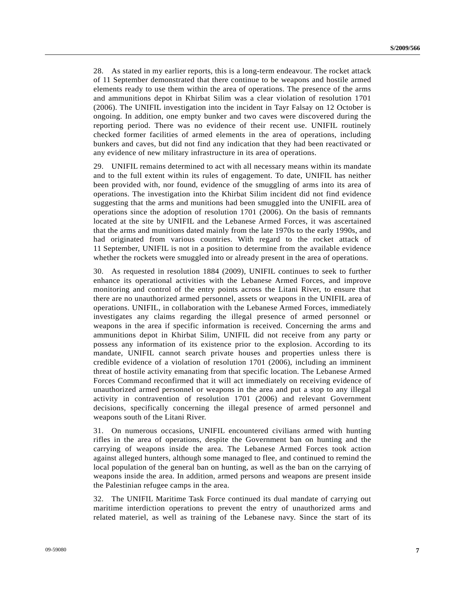28. As stated in my earlier reports, this is a long-term endeavour. The rocket attack of 11 September demonstrated that there continue to be weapons and hostile armed elements ready to use them within the area of operations. The presence of the arms and ammunitions depot in Khirbat Silim was a clear violation of resolution 1701 (2006). The UNIFIL investigation into the incident in Tayr Falsay on 12 October is ongoing. In addition, one empty bunker and two caves were discovered during the reporting period. There was no evidence of their recent use. UNIFIL routinely checked former facilities of armed elements in the area of operations, including bunkers and caves, but did not find any indication that they had been reactivated or any evidence of new military infrastructure in its area of operations.

29. UNIFIL remains determined to act with all necessary means within its mandate and to the full extent within its rules of engagement. To date, UNIFIL has neither been provided with, nor found, evidence of the smuggling of arms into its area of operations. The investigation into the Khirbat Silim incident did not find evidence suggesting that the arms and munitions had been smuggled into the UNIFIL area of operations since the adoption of resolution 1701 (2006). On the basis of remnants located at the site by UNIFIL and the Lebanese Armed Forces, it was ascertained that the arms and munitions dated mainly from the late 1970s to the early 1990s, and had originated from various countries. With regard to the rocket attack of 11 September, UNIFIL is not in a position to determine from the available evidence whether the rockets were smuggled into or already present in the area of operations.

30. As requested in resolution 1884 (2009), UNIFIL continues to seek to further enhance its operational activities with the Lebanese Armed Forces, and improve monitoring and control of the entry points across the Litani River, to ensure that there are no unauthorized armed personnel, assets or weapons in the UNIFIL area of operations. UNIFIL, in collaboration with the Lebanese Armed Forces, immediately investigates any claims regarding the illegal presence of armed personnel or weapons in the area if specific information is received. Concerning the arms and ammunitions depot in Khirbat Silim, UNIFIL did not receive from any party or possess any information of its existence prior to the explosion. According to its mandate, UNIFIL cannot search private houses and properties unless there is credible evidence of a violation of resolution 1701 (2006), including an imminent threat of hostile activity emanating from that specific location. The Lebanese Armed Forces Command reconfirmed that it will act immediately on receiving evidence of unauthorized armed personnel or weapons in the area and put a stop to any illegal activity in contravention of resolution 1701 (2006) and relevant Government decisions, specifically concerning the illegal presence of armed personnel and weapons south of the Litani River.

31. On numerous occasions, UNIFIL encountered civilians armed with hunting rifles in the area of operations, despite the Government ban on hunting and the carrying of weapons inside the area. The Lebanese Armed Forces took action against alleged hunters, although some managed to flee, and continued to remind the local population of the general ban on hunting, as well as the ban on the carrying of weapons inside the area. In addition, armed persons and weapons are present inside the Palestinian refugee camps in the area.

32. The UNIFIL Maritime Task Force continued its dual mandate of carrying out maritime interdiction operations to prevent the entry of unauthorized arms and related materiel, as well as training of the Lebanese navy. Since the start of its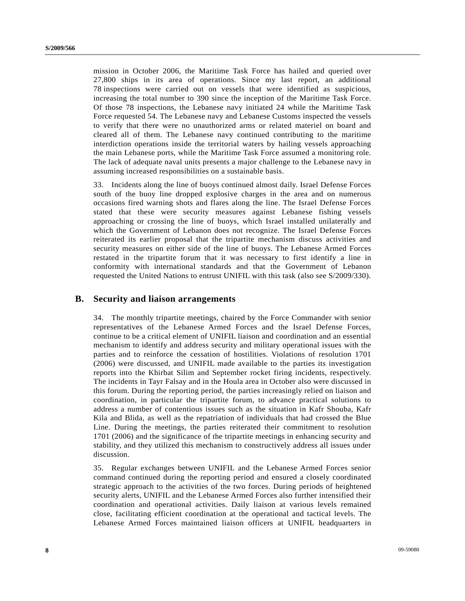mission in October 2006, the Maritime Task Force has hailed and queried over 27,800 ships in its area of operations. Since my last report, an additional 78 inspections were carried out on vessels that were identified as suspicious, increasing the total number to 390 since the inception of the Maritime Task Force. Of those 78 inspections, the Lebanese navy initiated 24 while the Maritime Task Force requested 54. The Lebanese navy and Lebanese Customs inspected the vessels to verify that there were no unauthorized arms or related materiel on board and cleared all of them. The Lebanese navy continued contributing to the maritime interdiction operations inside the territorial waters by hailing vessels approaching the main Lebanese ports, while the Maritime Task Force assumed a monitoring role. The lack of adequate naval units presents a major challenge to the Lebanese navy in assuming increased responsibilities on a sustainable basis.

33. Incidents along the line of buoys continued almost daily. Israel Defense Forces south of the buoy line dropped explosive charges in the area and on numerous occasions fired warning shots and flares along the line. The Israel Defense Forces stated that these were security measures against Lebanese fishing vessels approaching or crossing the line of buoys, which Israel installed unilaterally and which the Government of Lebanon does not recognize. The Israel Defense Forces reiterated its earlier proposal that the tripartite mechanism discuss activities and security measures on either side of the line of buoys. The Lebanese Armed Forces restated in the tripartite forum that it was necessary to first identify a line in conformity with international standards and that the Government of Lebanon requested the United Nations to entrust UNIFIL with this task (also see S/2009/330).

#### **B. Security and liaison arrangements**

34. The monthly tripartite meetings, chaired by the Force Commander with senior representatives of the Lebanese Armed Forces and the Israel Defense Forces, continue to be a critical element of UNIFIL liaison and coordination and an essential mechanism to identify and address security and military operational issues with the parties and to reinforce the cessation of hostilities. Violations of resolution 1701 (2006) were discussed, and UNIFIL made available to the parties its investigation reports into the Khirbat Silim and September rocket firing incidents, respectively. The incidents in Tayr Falsay and in the Houla area in October also were discussed in this forum. During the reporting period, the parties increasingly relied on liaison and coordination, in particular the tripartite forum, to advance practical solutions to address a number of contentious issues such as the situation in Kafr Shouba, Kafr Kila and Blida, as well as the repatriation of individuals that had crossed the Blue Line. During the meetings, the parties reiterated their commitment to resolution 1701 (2006) and the significance of the tripartite meetings in enhancing security and stability, and they utilized this mechanism to constructively address all issues under discussion.

35. Regular exchanges between UNIFIL and the Lebanese Armed Forces senior command continued during the reporting period and ensured a closely coordinated strategic approach to the activities of the two forces. During periods of heightened security alerts, UNIFIL and the Lebanese Armed Forces also further intensified their coordination and operational activities. Daily liaison at various levels remained close, facilitating efficient coordination at the operational and tactical levels. The Lebanese Armed Forces maintained liaison officers at UNIFIL headquarters in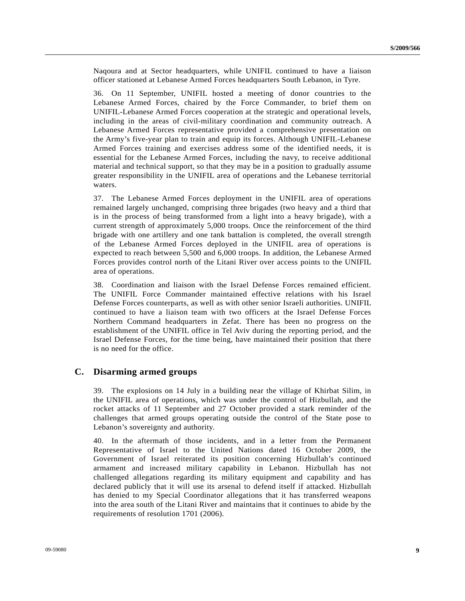Naqoura and at Sector headquarters, while UNIFIL continued to have a liaison officer stationed at Lebanese Armed Forces headquarters South Lebanon, in Tyre.

36. On 11 September, UNIFIL hosted a meeting of donor countries to the Lebanese Armed Forces, chaired by the Force Commander, to brief them on UNIFIL-Lebanese Armed Forces cooperation at the strategic and operational levels, including in the areas of civil-military coordination and community outreach. A Lebanese Armed Forces representative provided a comprehensive presentation on the Army's five-year plan to train and equip its forces. Although UNIFIL-Lebanese Armed Forces training and exercises address some of the identified needs, it is essential for the Lebanese Armed Forces, including the navy, to receive additional material and technical support, so that they may be in a position to gradually assume greater responsibility in the UNIFIL area of operations and the Lebanese territorial waters.

37. The Lebanese Armed Forces deployment in the UNIFIL area of operations remained largely unchanged, comprising three brigades (two heavy and a third that is in the process of being transformed from a light into a heavy brigade), with a current strength of approximately 5,000 troops. Once the reinforcement of the third brigade with one artillery and one tank battalion is completed, the overall strength of the Lebanese Armed Forces deployed in the UNIFIL area of operations is expected to reach between 5,500 and 6,000 troops. In addition, the Lebanese Armed Forces provides control north of the Litani River over access points to the UNIFIL area of operations.

38. Coordination and liaison with the Israel Defense Forces remained efficient. The UNIFIL Force Commander maintained effective relations with his Israel Defense Forces counterparts, as well as with other senior Israeli authorities. UNIFIL continued to have a liaison team with two officers at the Israel Defense Forces Northern Command headquarters in Zefat. There has been no progress on the establishment of the UNIFIL office in Tel Aviv during the reporting period, and the Israel Defense Forces, for the time being, have maintained their position that there is no need for the office.

### **C. Disarming armed groups**

39. The explosions on 14 July in a building near the village of Khirbat Silim, in the UNIFIL area of operations, which was under the control of Hizbullah, and the rocket attacks of 11 September and 27 October provided a stark reminder of the challenges that armed groups operating outside the control of the State pose to Lebanon's sovereignty and authority.

40. In the aftermath of those incidents, and in a letter from the Permanent Representative of Israel to the United Nations dated 16 October 2009, the Government of Israel reiterated its position concerning Hizbullah's continued armament and increased military capability in Lebanon. Hizbullah has not challenged allegations regarding its military equipment and capability and has declared publicly that it will use its arsenal to defend itself if attacked. Hizbullah has denied to my Special Coordinator allegations that it has transferred weapons into the area south of the Litani River and maintains that it continues to abide by the requirements of resolution 1701 (2006).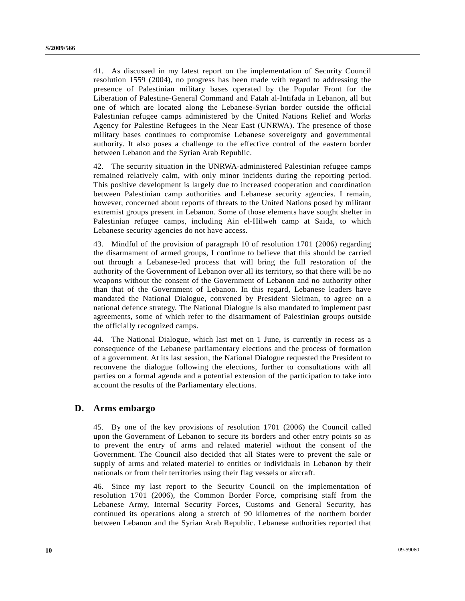41. As discussed in my latest report on the implementation of Security Council resolution 1559 (2004), no progress has been made with regard to addressing the presence of Palestinian military bases operated by the Popular Front for the Liberation of Palestine-General Command and Fatah al-Intifada in Lebanon, all but one of which are located along the Lebanese-Syrian border outside the official Palestinian refugee camps administered by the United Nations Relief and Works Agency for Palestine Refugees in the Near East (UNRWA). The presence of those military bases continues to compromise Lebanese sovereignty and governmental authority. It also poses a challenge to the effective control of the eastern border between Lebanon and the Syrian Arab Republic.

42. The security situation in the UNRWA-administered Palestinian refugee camps remained relatively calm, with only minor incidents during the reporting period. This positive development is largely due to increased cooperation and coordination between Palestinian camp authorities and Lebanese security agencies. I remain, however, concerned about reports of threats to the United Nations posed by militant extremist groups present in Lebanon. Some of those elements have sought shelter in Palestinian refugee camps, including Ain el-Hilweh camp at Saida, to which Lebanese security agencies do not have access.

43. Mindful of the provision of paragraph 10 of resolution 1701 (2006) regarding the disarmament of armed groups, I continue to believe that this should be carried out through a Lebanese-led process that will bring the full restoration of the authority of the Government of Lebanon over all its territory, so that there will be no weapons without the consent of the Government of Lebanon and no authority other than that of the Government of Lebanon. In this regard, Lebanese leaders have mandated the National Dialogue, convened by President Sleiman, to agree on a national defence strategy. The National Dialogue is also mandated to implement past agreements, some of which refer to the disarmament of Palestinian groups outside the officially recognized camps.

44. The National Dialogue, which last met on 1 June, is currently in recess as a consequence of the Lebanese parliamentary elections and the process of formation of a government. At its last session, the National Dialogue requested the President to reconvene the dialogue following the elections, further to consultations with all parties on a formal agenda and a potential extension of the participation to take into account the results of the Parliamentary elections.

#### **D. Arms embargo**

45. By one of the key provisions of resolution 1701 (2006) the Council called upon the Government of Lebanon to secure its borders and other entry points so as to prevent the entry of arms and related materiel without the consent of the Government. The Council also decided that all States were to prevent the sale or supply of arms and related materiel to entities or individuals in Lebanon by their nationals or from their territories using their flag vessels or aircraft.

46. Since my last report to the Security Council on the implementation of resolution 1701 (2006), the Common Border Force, comprising staff from the Lebanese Army, Internal Security Forces, Customs and General Security, has continued its operations along a stretch of 90 kilometres of the northern border between Lebanon and the Syrian Arab Republic. Lebanese authorities reported that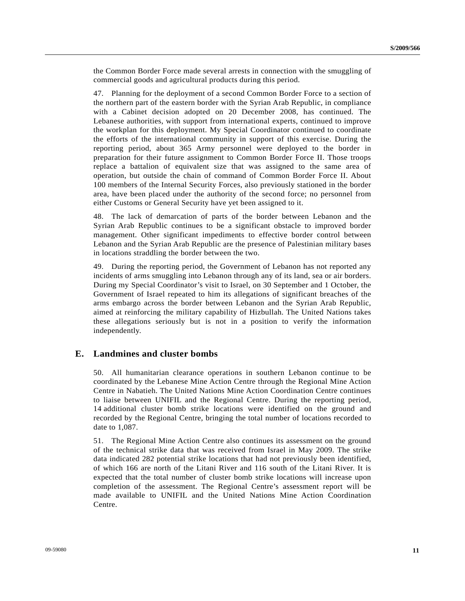the Common Border Force made several arrests in connection with the smuggling of commercial goods and agricultural products during this period.

47. Planning for the deployment of a second Common Border Force to a section of the northern part of the eastern border with the Syrian Arab Republic, in compliance with a Cabinet decision adopted on 20 December 2008, has continued. The Lebanese authorities, with support from international experts, continued to improve the workplan for this deployment. My Special Coordinator continued to coordinate the efforts of the international community in support of this exercise. During the reporting period, about 365 Army personnel were deployed to the border in preparation for their future assignment to Common Border Force II. Those troops replace a battalion of equivalent size that was assigned to the same area of operation, but outside the chain of command of Common Border Force II. About 100 members of the Internal Security Forces, also previously stationed in the border area, have been placed under the authority of the second force; no personnel from either Customs or General Security have yet been assigned to it.

48. The lack of demarcation of parts of the border between Lebanon and the Syrian Arab Republic continues to be a significant obstacle to improved border management. Other significant impediments to effective border control between Lebanon and the Syrian Arab Republic are the presence of Palestinian military bases in locations straddling the border between the two.

49. During the reporting period, the Government of Lebanon has not reported any incidents of arms smuggling into Lebanon through any of its land, sea or air borders. During my Special Coordinator's visit to Israel, on 30 September and 1 October, the Government of Israel repeated to him its allegations of significant breaches of the arms embargo across the border between Lebanon and the Syrian Arab Republic, aimed at reinforcing the military capability of Hizbullah. The United Nations takes these allegations seriously but is not in a position to verify the information independently.

### **E. Landmines and cluster bombs**

50. All humanitarian clearance operations in southern Lebanon continue to be coordinated by the Lebanese Mine Action Centre through the Regional Mine Action Centre in Nabatieh. The United Nations Mine Action Coordination Centre continues to liaise between UNIFIL and the Regional Centre. During the reporting period, 14 additional cluster bomb strike locations were identified on the ground and recorded by the Regional Centre, bringing the total number of locations recorded to date to 1,087.

51. The Regional Mine Action Centre also continues its assessment on the ground of the technical strike data that was received from Israel in May 2009. The strike data indicated 282 potential strike locations that had not previously been identified, of which 166 are north of the Litani River and 116 south of the Litani River. It is expected that the total number of cluster bomb strike locations will increase upon completion of the assessment. The Regional Centre's assessment report will be made available to UNIFIL and the United Nations Mine Action Coordination Centre.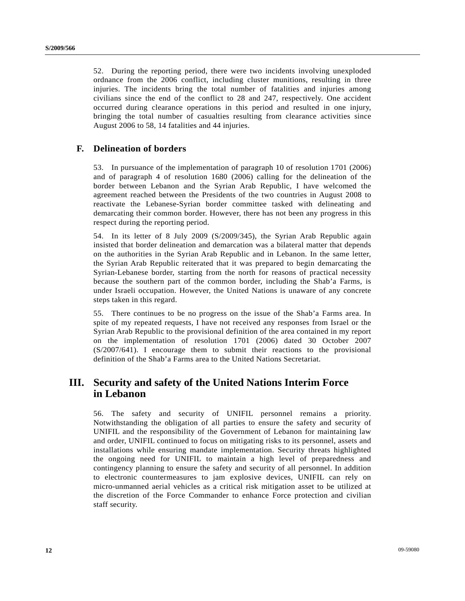52. During the reporting period, there were two incidents involving unexploded ordnance from the 2006 conflict, including cluster munitions, resulting in three injuries. The incidents bring the total number of fatalities and injuries among civilians since the end of the conflict to 28 and 247, respectively. One accident occurred during clearance operations in this period and resulted in one injury, bringing the total number of casualties resulting from clearance activities since August 2006 to 58, 14 fatalities and 44 injuries.

## **F. Delineation of borders**

53. In pursuance of the implementation of paragraph 10 of resolution 1701 (2006) and of paragraph 4 of resolution 1680 (2006) calling for the delineation of the border between Lebanon and the Syrian Arab Republic, I have welcomed the agreement reached between the Presidents of the two countries in August 2008 to reactivate the Lebanese-Syrian border committee tasked with delineating and demarcating their common border. However, there has not been any progress in this respect during the reporting period.

54. In its letter of 8 July 2009 (S/2009/345), the Syrian Arab Republic again insisted that border delineation and demarcation was a bilateral matter that depends on the authorities in the Syrian Arab Republic and in Lebanon. In the same letter, the Syrian Arab Republic reiterated that it was prepared to begin demarcating the Syrian-Lebanese border, starting from the north for reasons of practical necessity because the southern part of the common border, including the Shab'a Farms, is under Israeli occupation. However, the United Nations is unaware of any concrete steps taken in this regard.

55. There continues to be no progress on the issue of the Shab'a Farms area. In spite of my repeated requests, I have not received any responses from Israel or the Syrian Arab Republic to the provisional definition of the area contained in my report on the implementation of resolution 1701 (2006) dated 30 October 2007 (S/2007/641). I encourage them to submit their reactions to the provisional definition of the Shab'a Farms area to the United Nations Secretariat.

# **III. Security and safety of the United Nations Interim Force in Lebanon**

56. The safety and security of UNIFIL personnel remains a priority. Notwithstanding the obligation of all parties to ensure the safety and security of UNIFIL and the responsibility of the Government of Lebanon for maintaining law and order, UNIFIL continued to focus on mitigating risks to its personnel, assets and installations while ensuring mandate implementation. Security threats highlighted the ongoing need for UNIFIL to maintain a high level of preparedness and contingency planning to ensure the safety and security of all personnel. In addition to electronic countermeasures to jam explosive devices, UNIFIL can rely on micro-unmanned aerial vehicles as a critical risk mitigation asset to be utilized at the discretion of the Force Commander to enhance Force protection and civilian staff security.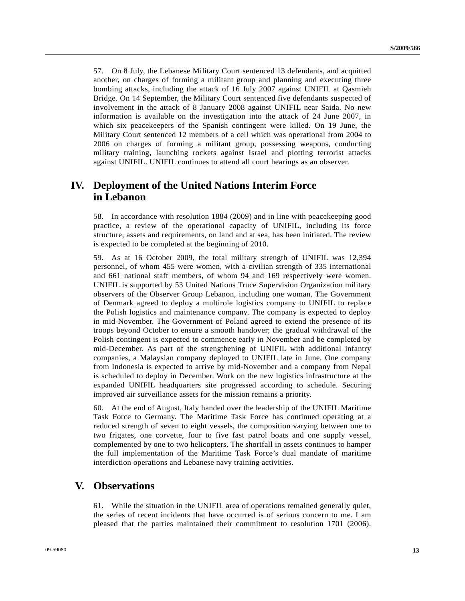57. On 8 July, the Lebanese Military Court sentenced 13 defendants, and acquitted another, on charges of forming a militant group and planning and executing three bombing attacks, including the attack of 16 July 2007 against UNIFIL at Qasmieh Bridge. On 14 September, the Military Court sentenced five defendants suspected of involvement in the attack of 8 January 2008 against UNIFIL near Saida. No new information is available on the investigation into the attack of 24 June 2007, in which six peacekeepers of the Spanish contingent were killed. On 19 June, the Military Court sentenced 12 members of a cell which was operational from 2004 to 2006 on charges of forming a militant group, possessing weapons, conducting military training, launching rockets against Israel and plotting terrorist attacks against UNIFIL. UNIFIL continues to attend all court hearings as an observer.

## **IV. Deployment of the United Nations Interim Force in Lebanon**

58. In accordance with resolution 1884 (2009) and in line with peacekeeping good practice, a review of the operational capacity of UNIFIL, including its force structure, assets and requirements, on land and at sea, has been initiated. The review is expected to be completed at the beginning of 2010.

59. As at 16 October 2009, the total military strength of UNIFIL was 12,394 personnel, of whom 455 were women, with a civilian strength of 335 international and 661 national staff members, of whom 94 and 169 respectively were women. UNIFIL is supported by 53 United Nations Truce Supervision Organization military observers of the Observer Group Lebanon, including one woman. The Government of Denmark agreed to deploy a multirole logistics company to UNIFIL to replace the Polish logistics and maintenance company. The company is expected to deploy in mid-November. The Government of Poland agreed to extend the presence of its troops beyond October to ensure a smooth handover; the gradual withdrawal of the Polish contingent is expected to commence early in November and be completed by mid-December. As part of the strengthening of UNIFIL with additional infantry companies, a Malaysian company deployed to UNIFIL late in June. One company from Indonesia is expected to arrive by mid-November and a company from Nepal is scheduled to deploy in December. Work on the new logistics infrastructure at the expanded UNIFIL headquarters site progressed according to schedule. Securing improved air surveillance assets for the mission remains a priority.

60. At the end of August, Italy handed over the leadership of the UNIFIL Maritime Task Force to Germany. The Maritime Task Force has continued operating at a reduced strength of seven to eight vessels, the composition varying between one to two frigates, one corvette, four to five fast patrol boats and one supply vessel, complemented by one to two helicopters. The shortfall in assets continues to hamper the full implementation of the Maritime Task Force's dual mandate of maritime interdiction operations and Lebanese navy training activities.

## **V. Observations**

61. While the situation in the UNIFIL area of operations remained generally quiet, the series of recent incidents that have occurred is of serious concern to me. I am pleased that the parties maintained their commitment to resolution 1701 (2006).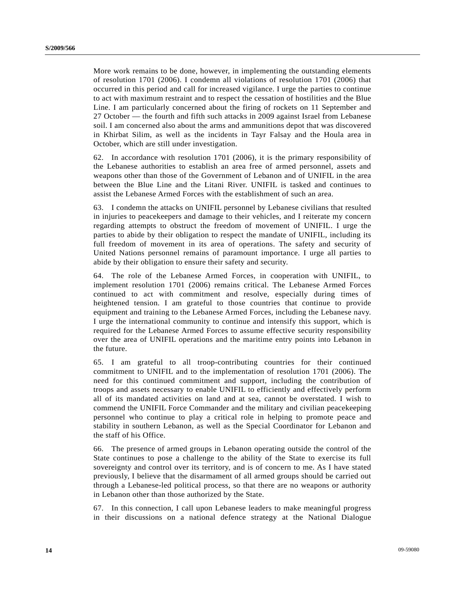More work remains to be done, however, in implementing the outstanding elements of resolution 1701 (2006). I condemn all violations of resolution 1701 (2006) that occurred in this period and call for increased vigilance. I urge the parties to continue to act with maximum restraint and to respect the cessation of hostilities and the Blue Line. I am particularly concerned about the firing of rockets on 11 September and 27 October — the fourth and fifth such attacks in 2009 against Israel from Lebanese soil. I am concerned also about the arms and ammunitions depot that was discovered in Khirbat Silim, as well as the incidents in Tayr Falsay and the Houla area in October, which are still under investigation.

62. In accordance with resolution 1701 (2006), it is the primary responsibility of the Lebanese authorities to establish an area free of armed personnel, assets and weapons other than those of the Government of Lebanon and of UNIFIL in the area between the Blue Line and the Litani River. UNIFIL is tasked and continues to assist the Lebanese Armed Forces with the establishment of such an area.

63. I condemn the attacks on UNIFIL personnel by Lebanese civilians that resulted in injuries to peacekeepers and damage to their vehicles, and I reiterate my concern regarding attempts to obstruct the freedom of movement of UNIFIL. I urge the parties to abide by their obligation to respect the mandate of UNIFIL, including its full freedom of movement in its area of operations. The safety and security of United Nations personnel remains of paramount importance. I urge all parties to abide by their obligation to ensure their safety and security.

64. The role of the Lebanese Armed Forces, in cooperation with UNIFIL, to implement resolution 1701 (2006) remains critical. The Lebanese Armed Forces continued to act with commitment and resolve, especially during times of heightened tension. I am grateful to those countries that continue to provide equipment and training to the Lebanese Armed Forces, including the Lebanese navy. I urge the international community to continue and intensify this support, which is required for the Lebanese Armed Forces to assume effective security responsibility over the area of UNIFIL operations and the maritime entry points into Lebanon in the future.

65. I am grateful to all troop-contributing countries for their continued commitment to UNIFIL and to the implementation of resolution 1701 (2006). The need for this continued commitment and support, including the contribution of troops and assets necessary to enable UNIFIL to efficiently and effectively perform all of its mandated activities on land and at sea, cannot be overstated. I wish to commend the UNIFIL Force Commander and the military and civilian peacekeeping personnel who continue to play a critical role in helping to promote peace and stability in southern Lebanon, as well as the Special Coordinator for Lebanon and the staff of his Office.

66. The presence of armed groups in Lebanon operating outside the control of the State continues to pose a challenge to the ability of the State to exercise its full sovereignty and control over its territory, and is of concern to me. As I have stated previously, I believe that the disarmament of all armed groups should be carried out through a Lebanese-led political process, so that there are no weapons or authority in Lebanon other than those authorized by the State.

67. In this connection, I call upon Lebanese leaders to make meaningful progress in their discussions on a national defence strategy at the National Dialogue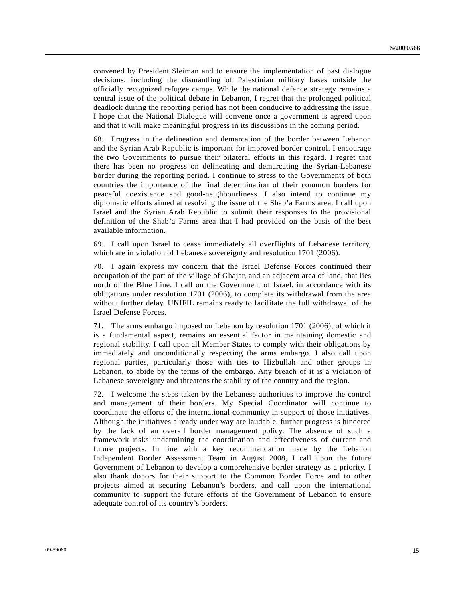convened by President Sleiman and to ensure the implementation of past dialogue decisions, including the dismantling of Palestinian military bases outside the officially recognized refugee camps. While the national defence strategy remains a central issue of the political debate in Lebanon, I regret that the prolonged political deadlock during the reporting period has not been conducive to addressing the issue. I hope that the National Dialogue will convene once a government is agreed upon and that it will make meaningful progress in its discussions in the coming period.

68. Progress in the delineation and demarcation of the border between Lebanon and the Syrian Arab Republic is important for improved border control. I encourage the two Governments to pursue their bilateral efforts in this regard. I regret that there has been no progress on delineating and demarcating the Syrian-Lebanese border during the reporting period. I continue to stress to the Governments of both countries the importance of the final determination of their common borders for peaceful coexistence and good-neighbourliness. I also intend to continue my diplomatic efforts aimed at resolving the issue of the Shab'a Farms area. I call upon Israel and the Syrian Arab Republic to submit their responses to the provisional definition of the Shab'a Farms area that I had provided on the basis of the best available information.

69. I call upon Israel to cease immediately all overflights of Lebanese territory, which are in violation of Lebanese sovereignty and resolution 1701 (2006).

70. I again express my concern that the Israel Defense Forces continued their occupation of the part of the village of Ghajar, and an adjacent area of land, that lies north of the Blue Line. I call on the Government of Israel, in accordance with its obligations under resolution 1701 (2006), to complete its withdrawal from the area without further delay. UNIFIL remains ready to facilitate the full withdrawal of the Israel Defense Forces.

71. The arms embargo imposed on Lebanon by resolution 1701 (2006), of which it is a fundamental aspect, remains an essential factor in maintaining domestic and regional stability. I call upon all Member States to comply with their obligations by immediately and unconditionally respecting the arms embargo. I also call upon regional parties, particularly those with ties to Hizbullah and other groups in Lebanon, to abide by the terms of the embargo. Any breach of it is a violation of Lebanese sovereignty and threatens the stability of the country and the region.

72. I welcome the steps taken by the Lebanese authorities to improve the control and management of their borders. My Special Coordinator will continue to coordinate the efforts of the international community in support of those initiatives. Although the initiatives already under way are laudable, further progress is hindered by the lack of an overall border management policy. The absence of such a framework risks undermining the coordination and effectiveness of current and future projects. In line with a key recommendation made by the Lebanon Independent Border Assessment Team in August 2008, I call upon the future Government of Lebanon to develop a comprehensive border strategy as a priority. I also thank donors for their support to the Common Border Force and to other projects aimed at securing Lebanon's borders, and call upon the international community to support the future efforts of the Government of Lebanon to ensure adequate control of its country's borders.